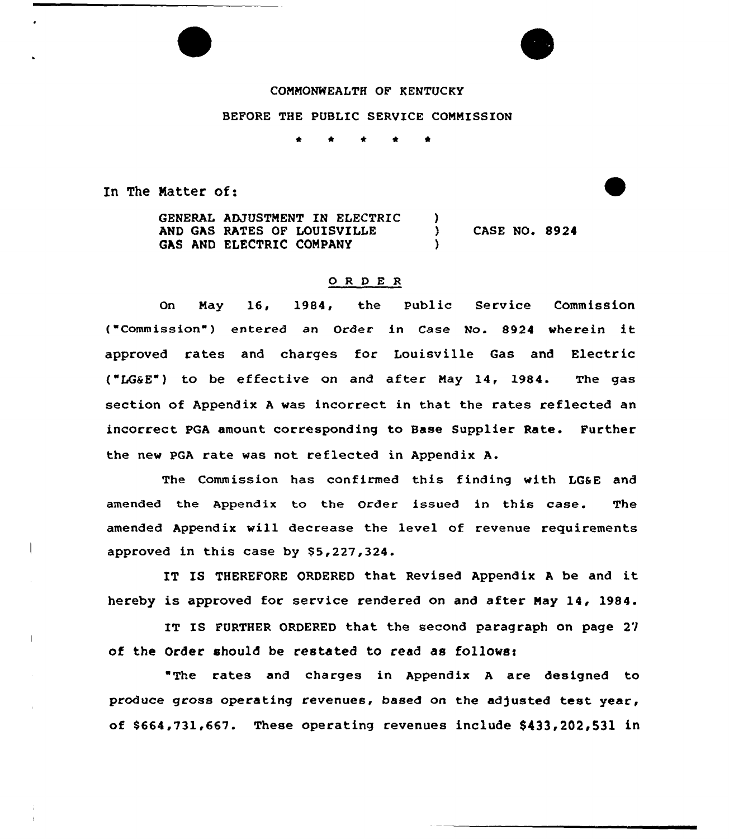#### COMMONWEALTH OF KENTUCKY

#### BEFORE THE PUBLIC SERVICE COMMISSION

\* \* \*

In The Natter of:

GENERAL ADJUSTMENT IN ELECTRIC AND GAS RATES OF LOUISVILLE GAS AND ELECTRIC CONPANY ) ) CASE NO. 8924 )

#### O R D E R

On May 16, 1984, the Public Service Commission ( "Comm iss ion" ) entered an Order in Case No. 8924 wherein it approved rates and charges for Louisville Gas and Electric ("LG&E") to be effective on and after May 14, 1984. The gas section of Appendix <sup>A</sup> was incorrect in that the rates reflected an incorrect PGA amount corresponding to Base Supplier Rate. Further the new pGA rate was not reflected in Appendix A.

The Commission has confirmed this finding with LG&E and amended the Appendix to the Order issued in this case. The amended Appendix will decrease the level of revenue requirements approved in this case by \$5,227,324.

IT IS THEREFORE ORDERED that Revised Appendix A be and it hereby is approved for service rendered on and after May 14, 1984.

IT IS FURTHER ORDERED that the second paragraph on page 27 of the Order should be restated to read as follows:

"The rates and charges in Appendix <sup>A</sup> are designed to produce gross operating revenues, based on the adjusted test year, of \$664,731,667. These operating revenues include \$433,202,531 in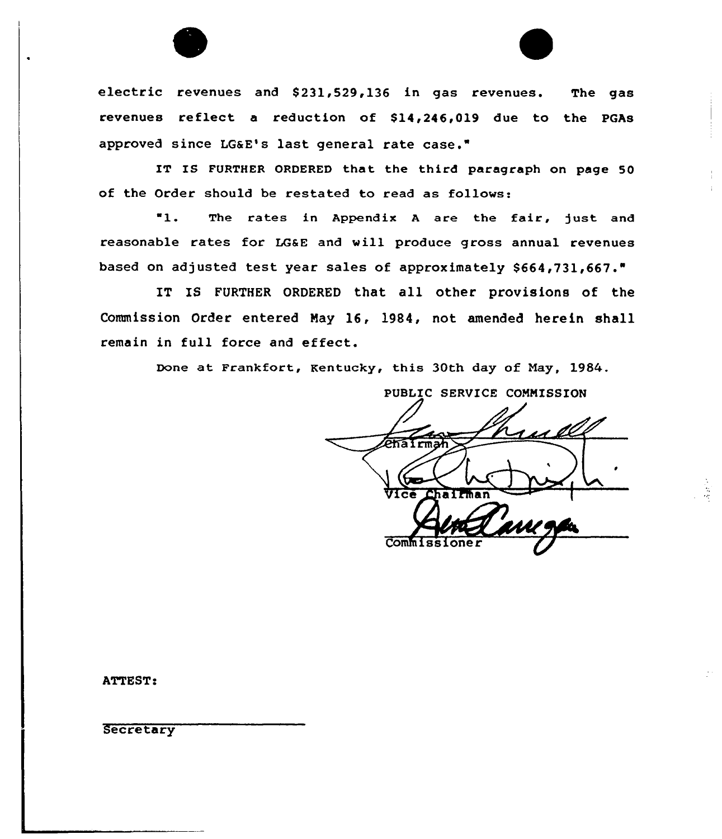

electric revenues and \$231,529,136 in gas revenues. The gas revenues reflect a reduction of \$14,246,019 due to the PGAs approved since LGaE's last general rate case."

IT IS FURTHER ORDERED that the third paragraph on page 50 of the Order should be restated to read as follows:

 $"1.$ The rates in Appendix A are the fair, just and reasonable rates for LGSE and vill produce gross annual revenues based on adjusted test year sales of approximately \$664,731,667."

IT IS FURTHER ORDERED that all other provisions of the Commission Order entered Nay 16, 1984, not amended herein shall remain in full force and effect.

Done at Frankfort, Kentucky, this 30th day of Nay, 1984.

PUBLIC SERVICE COMMISSION i ll **Phairn** Chairman Vice Commiss

ATTEST:

**Secretary**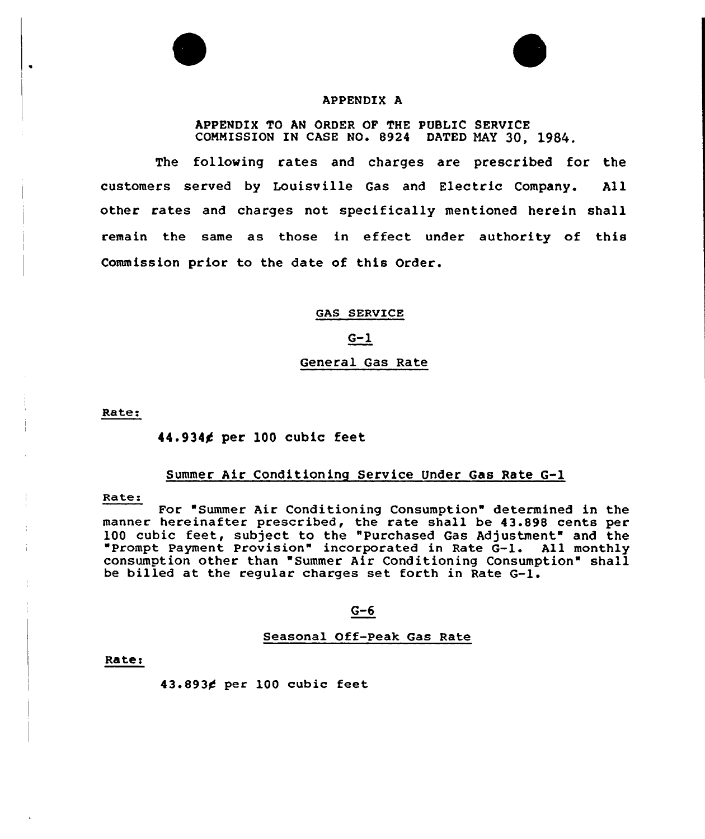



#### APPENDIX A

APPENDIX TO AN ORDER OF THE PUBLIC SERVICE COMMISSION IN CASE NO. 8924 DATED MAY 30, 1984.

The following rates and charges are prescribed for the customers served by Louisville Gas and Electric Company. All other rates and charges not specifically mentioned herein shall remain the same as those in effect under authority of this Commission prior to the date of this Order.

GAS SERVICE

 $G-1$ 

# General Gas Rate

Rate:

### 44.9344 per 100 cubic feet

### Summer Air Conditioning Service Under Gas Rate G-l

Rate:

For "Summer Air Conditioning Consumption" determined in the manner hereinafter prescribed, the rate shall be 43.898 cents per 100 cubic feet, subject to the "Purchased Gas Adjustment" and the Prompt Payment Provision" incorporated in Rate G-l. All monthly consumption other than "Summer Air Conditioning Consumption" shall be billed at the regular charges set forth in Rate G-l.

#### $G-6$

Seasonal Off-Peak Gas Rate

Rater

43.893¢ per 100 cubic feet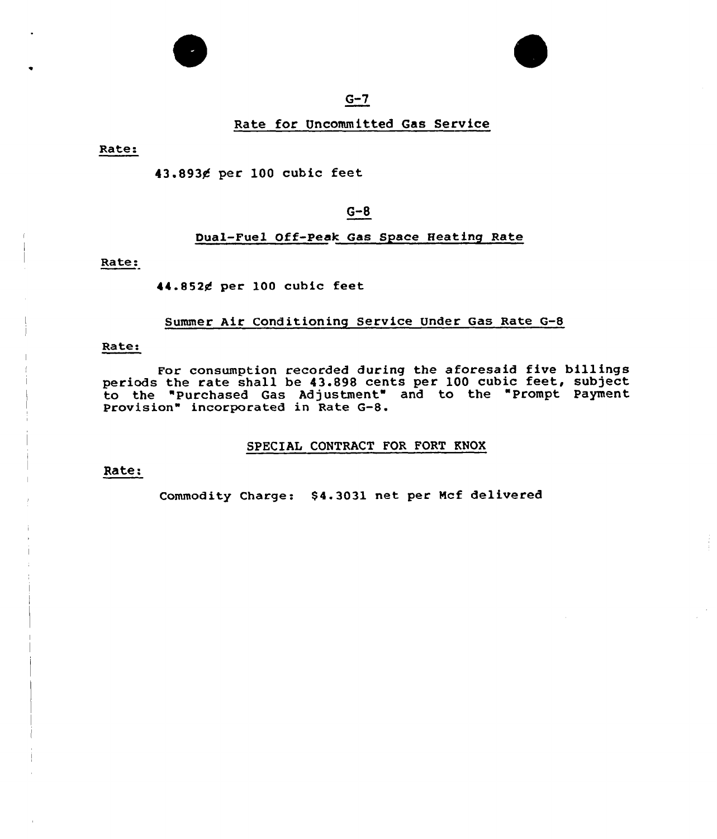



# $G-7$

#### Rate for Uncommitted Gas Service

Rate

43.893¢ per 100 cubic feet

# G-8

## Dual-Fuel Off-peak Gas Space Heating Rate

Rate:

#### 44.8524 per 100 cubic feet

#### Summer Air Conditioning Service Under Gas Rate G-8

#### Rate:

For consumption recorded during the aforesaid five billings periods the rate shall be 43.898 cents per 100 cubic feet, subject to the "Purchased Gas Adjustment" and to the "Prompt Payment Provision" incorporated in Rate G-8.

#### SPECIAL CONTRACT FOR FORT KNOX

#### Rate:

Commodity Charge: \$4.3031 net per Mcf delivered